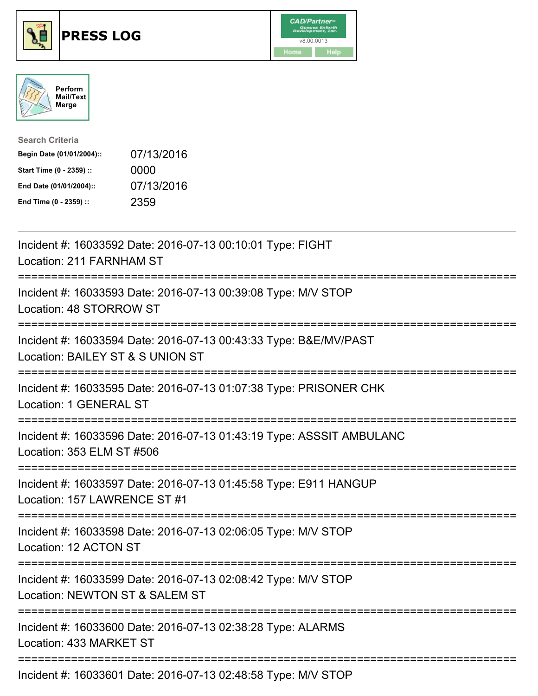





| <b>Search Criteria</b>    |            |
|---------------------------|------------|
| Begin Date (01/01/2004):: | 07/13/2016 |
| Start Time (0 - 2359) ::  | 0000       |
| End Date (01/01/2004)::   | 07/13/2016 |
| End Time (0 - 2359) ::    | 2359       |

| Incident #: 16033592 Date: 2016-07-13 00:10:01 Type: FIGHT<br>Location: 211 FARNHAM ST                                       |
|------------------------------------------------------------------------------------------------------------------------------|
| Incident #: 16033593 Date: 2016-07-13 00:39:08 Type: M/V STOP<br>Location: 48 STORROW ST                                     |
| Incident #: 16033594 Date: 2016-07-13 00:43:33 Type: B&E/MV/PAST<br>Location: BAILEY ST & S UNION ST                         |
| Incident #: 16033595 Date: 2016-07-13 01:07:38 Type: PRISONER CHK<br>Location: 1 GENERAL ST                                  |
| Incident #: 16033596 Date: 2016-07-13 01:43:19 Type: ASSSIT AMBULANC<br>Location: 353 ELM ST #506                            |
| Incident #: 16033597 Date: 2016-07-13 01:45:58 Type: E911 HANGUP<br>Location: 157 LAWRENCE ST #1                             |
| Incident #: 16033598 Date: 2016-07-13 02:06:05 Type: M/V STOP<br>Location: 12 ACTON ST                                       |
| Incident #: 16033599 Date: 2016-07-13 02:08:42 Type: M/V STOP<br>Location: NEWTON ST & SALEM ST<br>------------------------- |
| Incident #: 16033600 Date: 2016-07-13 02:38:28 Type: ALARMS<br>Location: 433 MARKET ST                                       |
| Incident #: 16033601 Date: 2016-07-13 02:48:58 Type: M/V STOP                                                                |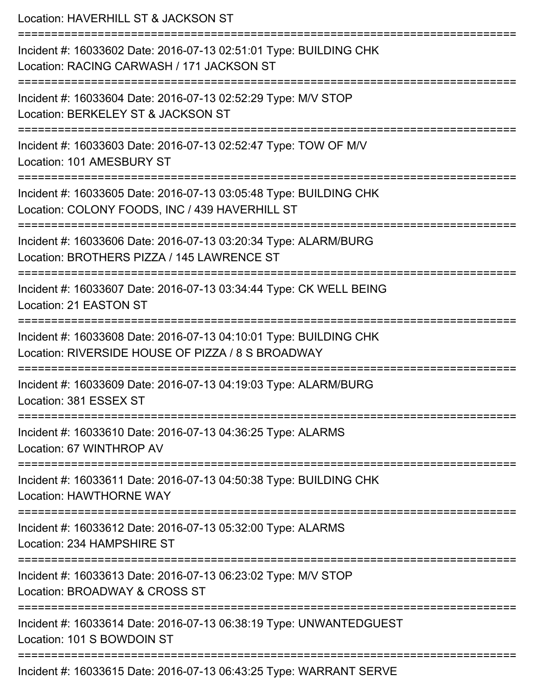| Location: HAVERHILL ST & JACKSON ST                                                                                            |
|--------------------------------------------------------------------------------------------------------------------------------|
| Incident #: 16033602 Date: 2016-07-13 02:51:01 Type: BUILDING CHK<br>Location: RACING CARWASH / 171 JACKSON ST                 |
| Incident #: 16033604 Date: 2016-07-13 02:52:29 Type: M/V STOP<br>Location: BERKELEY ST & JACKSON ST                            |
| Incident #: 16033603 Date: 2016-07-13 02:52:47 Type: TOW OF M/V<br>Location: 101 AMESBURY ST                                   |
| Incident #: 16033605 Date: 2016-07-13 03:05:48 Type: BUILDING CHK<br>Location: COLONY FOODS, INC / 439 HAVERHILL ST            |
| Incident #: 16033606 Date: 2016-07-13 03:20:34 Type: ALARM/BURG<br>Location: BROTHERS PIZZA / 145 LAWRENCE ST                  |
| Incident #: 16033607 Date: 2016-07-13 03:34:44 Type: CK WELL BEING<br>Location: 21 EASTON ST                                   |
| Incident #: 16033608 Date: 2016-07-13 04:10:01 Type: BUILDING CHK<br>Location: RIVERSIDE HOUSE OF PIZZA / 8 S BROADWAY         |
| Incident #: 16033609 Date: 2016-07-13 04:19:03 Type: ALARM/BURG<br>Location: 381 ESSEX ST                                      |
| Incident #: 16033610 Date: 2016-07-13 04:36:25 Type: ALARMS<br>Location: 67 WINTHROP AV                                        |
| Incident #: 16033611 Date: 2016-07-13 04:50:38 Type: BUILDING CHK<br><b>Location: HAWTHORNE WAY</b>                            |
| =================================<br>Incident #: 16033612 Date: 2016-07-13 05:32:00 Type: ALARMS<br>Location: 234 HAMPSHIRE ST |
| Incident #: 16033613 Date: 2016-07-13 06:23:02 Type: M/V STOP<br>Location: BROADWAY & CROSS ST                                 |
| Incident #: 16033614 Date: 2016-07-13 06:38:19 Type: UNWANTEDGUEST<br>Location: 101 S BOWDOIN ST                               |
| ====================<br>Incident #: 16033615 Date: 2016-07-13 06:43:25 Type: WARRANT SERVE                                     |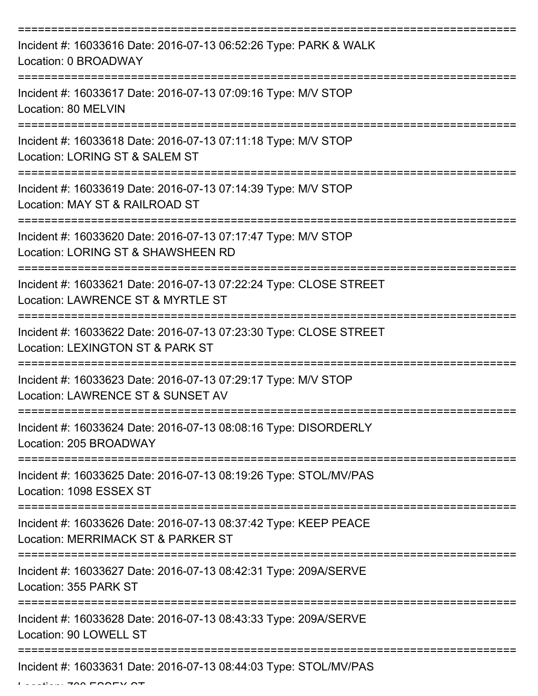| Incident #: 16033616 Date: 2016-07-13 06:52:26 Type: PARK & WALK<br>Location: 0 BROADWAY               |
|--------------------------------------------------------------------------------------------------------|
| Incident #: 16033617 Date: 2016-07-13 07:09:16 Type: M/V STOP<br>Location: 80 MELVIN                   |
| Incident #: 16033618 Date: 2016-07-13 07:11:18 Type: M/V STOP<br>Location: LORING ST & SALEM ST        |
| Incident #: 16033619 Date: 2016-07-13 07:14:39 Type: M/V STOP<br>Location: MAY ST & RAILROAD ST        |
| Incident #: 16033620 Date: 2016-07-13 07:17:47 Type: M/V STOP<br>Location: LORING ST & SHAWSHEEN RD    |
| Incident #: 16033621 Date: 2016-07-13 07:22:24 Type: CLOSE STREET<br>Location: LAWRENCE ST & MYRTLE ST |
| Incident #: 16033622 Date: 2016-07-13 07:23:30 Type: CLOSE STREET<br>Location: LEXINGTON ST & PARK ST  |
| Incident #: 16033623 Date: 2016-07-13 07:29:17 Type: M/V STOP<br>Location: LAWRENCE ST & SUNSET AV     |
| Incident #: 16033624 Date: 2016-07-13 08:08:16 Type: DISORDERLY<br>Location: 205 BROADWAY              |
| Incident #: 16033625 Date: 2016-07-13 08:19:26 Type: STOL/MV/PAS<br>Location: 1098 ESSEX ST            |
| Incident #: 16033626 Date: 2016-07-13 08:37:42 Type: KEEP PEACE<br>Location: MERRIMACK ST & PARKER ST  |
| Incident #: 16033627 Date: 2016-07-13 08:42:31 Type: 209A/SERVE<br>Location: 355 PARK ST               |
| Incident #: 16033628 Date: 2016-07-13 08:43:33 Type: 209A/SERVE<br>Location: 90 LOWELL ST              |
| Incident #: 16033631 Date: 2016-07-13 08:44:03 Type: STOL/MV/PAS                                       |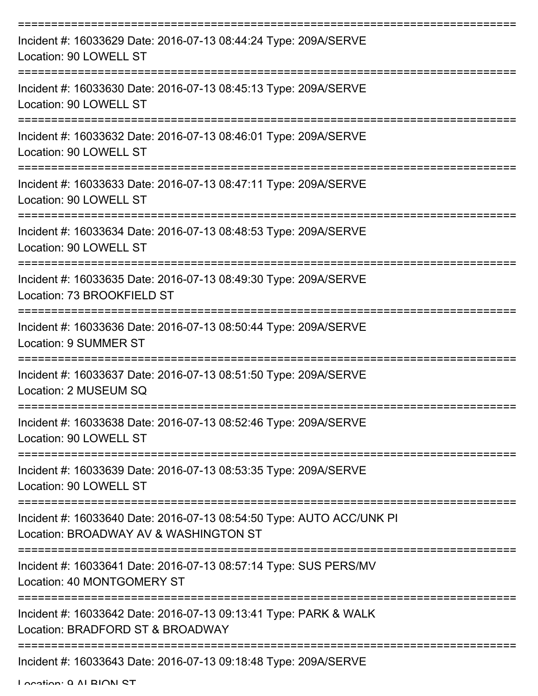| Incident #: 16033629 Date: 2016-07-13 08:44:24 Type: 209A/SERVE<br>Location: 90 LOWELL ST                     |
|---------------------------------------------------------------------------------------------------------------|
| Incident #: 16033630 Date: 2016-07-13 08:45:13 Type: 209A/SERVE<br>Location: 90 LOWELL ST                     |
| Incident #: 16033632 Date: 2016-07-13 08:46:01 Type: 209A/SERVE<br>Location: 90 LOWELL ST                     |
| Incident #: 16033633 Date: 2016-07-13 08:47:11 Type: 209A/SERVE<br>Location: 90 LOWELL ST                     |
| Incident #: 16033634 Date: 2016-07-13 08:48:53 Type: 209A/SERVE<br>Location: 90 LOWELL ST                     |
| Incident #: 16033635 Date: 2016-07-13 08:49:30 Type: 209A/SERVE<br>Location: 73 BROOKFIELD ST                 |
| Incident #: 16033636 Date: 2016-07-13 08:50:44 Type: 209A/SERVE<br><b>Location: 9 SUMMER ST</b>               |
| Incident #: 16033637 Date: 2016-07-13 08:51:50 Type: 209A/SERVE<br>Location: 2 MUSEUM SQ                      |
| Incident #: 16033638 Date: 2016-07-13 08:52:46 Type: 209A/SERVE<br>Location: 90 LOWELL ST                     |
| Incident #: 16033639 Date: 2016-07-13 08:53:35 Type: 209A/SERVE<br>Location: 90 LOWELL ST                     |
| Incident #: 16033640 Date: 2016-07-13 08:54:50 Type: AUTO ACC/UNK PI<br>Location: BROADWAY AV & WASHINGTON ST |
| Incident #: 16033641 Date: 2016-07-13 08:57:14 Type: SUS PERS/MV<br>Location: 40 MONTGOMERY ST                |
| Incident #: 16033642 Date: 2016-07-13 09:13:41 Type: PARK & WALK<br>Location: BRADFORD ST & BROADWAY          |
| Incident #: 16033643 Date: 2016-07-13 09:18:48 Type: 209A/SERVE                                               |

Location: 0 ALBION ST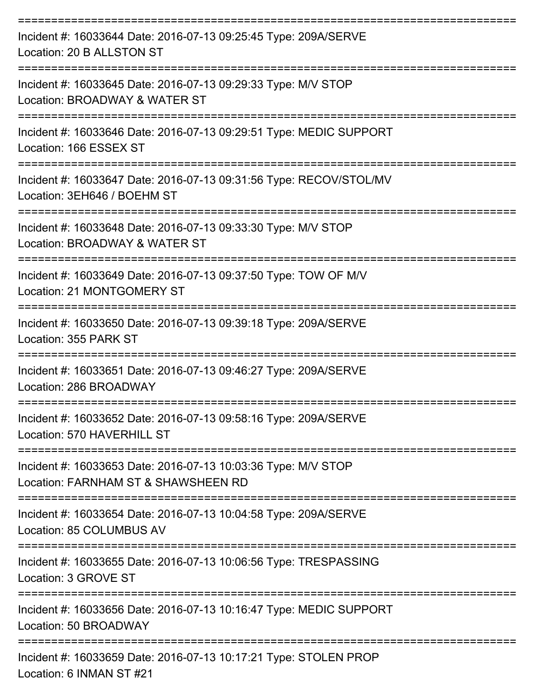| Incident #: 16033644 Date: 2016-07-13 09:25:45 Type: 209A/SERVE<br>Location: 20 B ALLSTON ST         |
|------------------------------------------------------------------------------------------------------|
| Incident #: 16033645 Date: 2016-07-13 09:29:33 Type: M/V STOP<br>Location: BROADWAY & WATER ST       |
| Incident #: 16033646 Date: 2016-07-13 09:29:51 Type: MEDIC SUPPORT<br>Location: 166 ESSEX ST         |
| Incident #: 16033647 Date: 2016-07-13 09:31:56 Type: RECOV/STOL/MV<br>Location: 3EH646 / BOEHM ST    |
| Incident #: 16033648 Date: 2016-07-13 09:33:30 Type: M/V STOP<br>Location: BROADWAY & WATER ST       |
| Incident #: 16033649 Date: 2016-07-13 09:37:50 Type: TOW OF M/V<br>Location: 21 MONTGOMERY ST        |
| Incident #: 16033650 Date: 2016-07-13 09:39:18 Type: 209A/SERVE<br>Location: 355 PARK ST             |
| Incident #: 16033651 Date: 2016-07-13 09:46:27 Type: 209A/SERVE<br>Location: 286 BROADWAY            |
| Incident #: 16033652 Date: 2016-07-13 09:58:16 Type: 209A/SERVE<br>Location: 570 HAVERHILL ST        |
| Incident #: 16033653 Date: 2016-07-13 10:03:36 Type: M/V STOP<br>Location: FARNHAM ST & SHAWSHEEN RD |
| Incident #: 16033654 Date: 2016-07-13 10:04:58 Type: 209A/SERVE<br>Location: 85 COLUMBUS AV          |
| Incident #: 16033655 Date: 2016-07-13 10:06:56 Type: TRESPASSING<br>Location: 3 GROVE ST             |
| Incident #: 16033656 Date: 2016-07-13 10:16:47 Type: MEDIC SUPPORT<br>Location: 50 BROADWAY          |
| Incident #: 16033659 Date: 2016-07-13 10:17:21 Type: STOLEN PROP<br>Location: 6 INMAN ST #21         |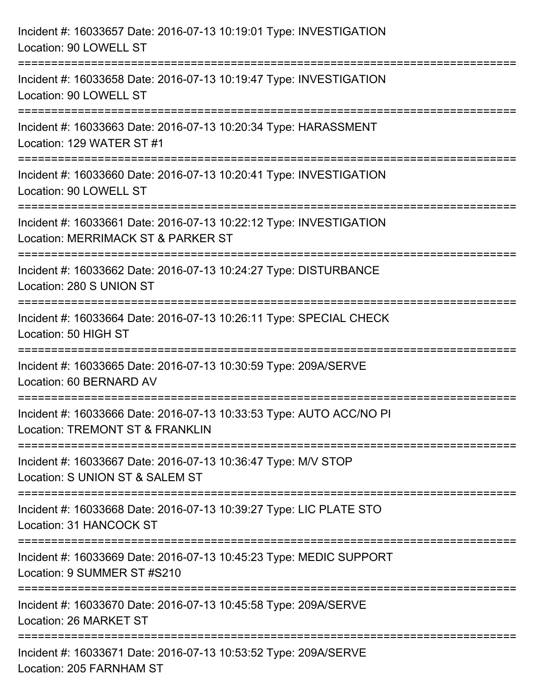| Incident #: 16033657 Date: 2016-07-13 10:19:01 Type: INVESTIGATION<br>Location: 90 LOWELL ST                                        |
|-------------------------------------------------------------------------------------------------------------------------------------|
| :==================================<br>Incident #: 16033658 Date: 2016-07-13 10:19:47 Type: INVESTIGATION<br>Location: 90 LOWELL ST |
| Incident #: 16033663 Date: 2016-07-13 10:20:34 Type: HARASSMENT<br>Location: 129 WATER ST #1<br>=================================   |
| Incident #: 16033660 Date: 2016-07-13 10:20:41 Type: INVESTIGATION<br>Location: 90 LOWELL ST                                        |
| Incident #: 16033661 Date: 2016-07-13 10:22:12 Type: INVESTIGATION<br>Location: MERRIMACK ST & PARKER ST                            |
| Incident #: 16033662 Date: 2016-07-13 10:24:27 Type: DISTURBANCE<br>Location: 280 S UNION ST                                        |
| Incident #: 16033664 Date: 2016-07-13 10:26:11 Type: SPECIAL CHECK<br>Location: 50 HIGH ST                                          |
| Incident #: 16033665 Date: 2016-07-13 10:30:59 Type: 209A/SERVE<br>Location: 60 BERNARD AV                                          |
| Incident #: 16033666 Date: 2016-07-13 10:33:53 Type: AUTO ACC/NO PI<br>Location: TREMONT ST & FRANKLIN                              |
| Incident #: 16033667 Date: 2016-07-13 10:36:47 Type: M/V STOP<br>Location: S UNION ST & SALEM ST                                    |
| Incident #: 16033668 Date: 2016-07-13 10:39:27 Type: LIC PLATE STO<br>Location: 31 HANCOCK ST                                       |
| Incident #: 16033669 Date: 2016-07-13 10:45:23 Type: MEDIC SUPPORT<br>Location: 9 SUMMER ST #S210                                   |
| Incident #: 16033670 Date: 2016-07-13 10:45:58 Type: 209A/SERVE<br>Location: 26 MARKET ST                                           |
| Incident #: 16033671 Date: 2016-07-13 10:53:52 Type: 209A/SERVE<br>Location: 205 FARNHAM ST                                         |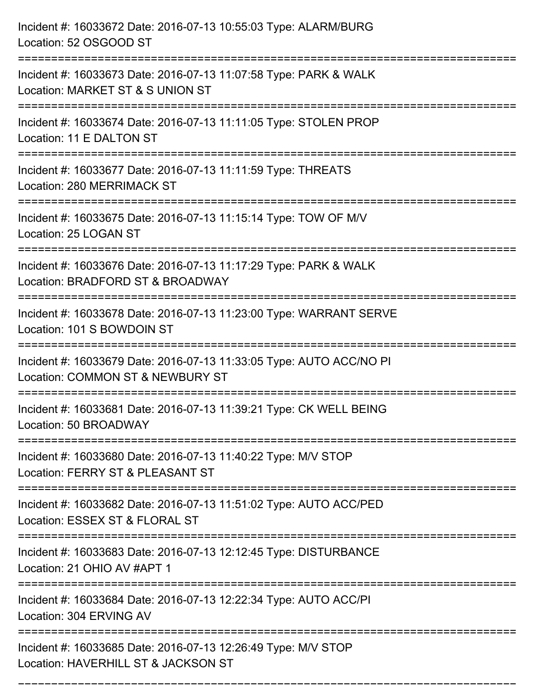| Incident #: 16033672 Date: 2016-07-13 10:55:03 Type: ALARM/BURG<br>Location: 52 OSGOOD ST                                                 |
|-------------------------------------------------------------------------------------------------------------------------------------------|
| =================================<br>Incident #: 16033673 Date: 2016-07-13 11:07:58 Type: PARK & WALK<br>Location: MARKET ST & S UNION ST |
| Incident #: 16033674 Date: 2016-07-13 11:11:05 Type: STOLEN PROP<br>Location: 11 E DALTON ST                                              |
| Incident #: 16033677 Date: 2016-07-13 11:11:59 Type: THREATS<br>Location: 280 MERRIMACK ST<br>===================<br>--------------       |
| Incident #: 16033675 Date: 2016-07-13 11:15:14 Type: TOW OF M/V<br>Location: 25 LOGAN ST                                                  |
| Incident #: 16033676 Date: 2016-07-13 11:17:29 Type: PARK & WALK<br>Location: BRADFORD ST & BROADWAY<br>:=======================          |
| Incident #: 16033678 Date: 2016-07-13 11:23:00 Type: WARRANT SERVE<br>Location: 101 S BOWDOIN ST                                          |
| Incident #: 16033679 Date: 2016-07-13 11:33:05 Type: AUTO ACC/NO PI<br>Location: COMMON ST & NEWBURY ST                                   |
| Incident #: 16033681 Date: 2016-07-13 11:39:21 Type: CK WELL BEING<br>Location: 50 BROADWAY                                               |
| Incident #: 16033680 Date: 2016-07-13 11:40:22 Type: M/V STOP<br>Location: FERRY ST & PLEASANT ST                                         |
| Incident #: 16033682 Date: 2016-07-13 11:51:02 Type: AUTO ACC/PED<br>Location: ESSEX ST & FLORAL ST                                       |
| Incident #: 16033683 Date: 2016-07-13 12:12:45 Type: DISTURBANCE<br>Location: 21 OHIO AV #APT 1                                           |
| Incident #: 16033684 Date: 2016-07-13 12:22:34 Type: AUTO ACC/PI<br>Location: 304 ERVING AV                                               |
| Incident #: 16033685 Date: 2016-07-13 12:26:49 Type: M/V STOP<br>Location: HAVERHILL ST & JACKSON ST                                      |

===========================================================================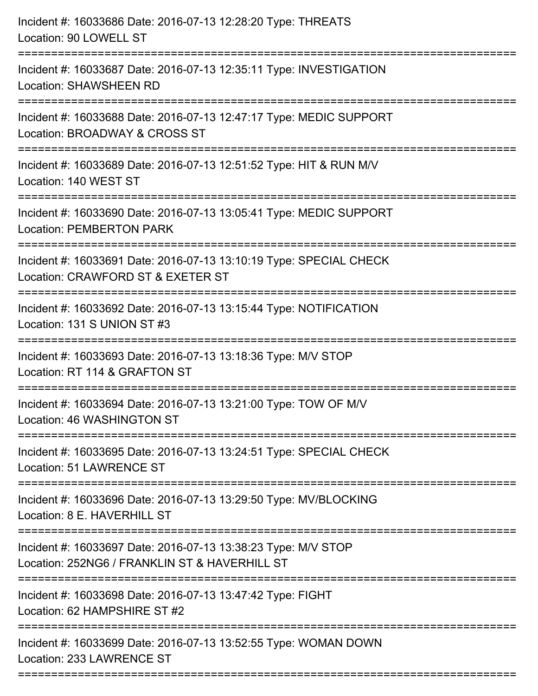| Incident #: 16033686 Date: 2016-07-13 12:28:20 Type: THREATS<br>Location: 90 LOWELL ST                                                  |
|-----------------------------------------------------------------------------------------------------------------------------------------|
| Incident #: 16033687 Date: 2016-07-13 12:35:11 Type: INVESTIGATION<br><b>Location: SHAWSHEEN RD</b>                                     |
| Incident #: 16033688 Date: 2016-07-13 12:47:17 Type: MEDIC SUPPORT<br>Location: BROADWAY & CROSS ST                                     |
| Incident #: 16033689 Date: 2016-07-13 12:51:52 Type: HIT & RUN M/V<br>Location: 140 WEST ST                                             |
| Incident #: 16033690 Date: 2016-07-13 13:05:41 Type: MEDIC SUPPORT<br><b>Location: PEMBERTON PARK</b><br>============================== |
| Incident #: 16033691 Date: 2016-07-13 13:10:19 Type: SPECIAL CHECK<br>Location: CRAWFORD ST & EXETER ST                                 |
| Incident #: 16033692 Date: 2016-07-13 13:15:44 Type: NOTIFICATION<br>Location: 131 S UNION ST #3<br>===============================     |
| Incident #: 16033693 Date: 2016-07-13 13:18:36 Type: M/V STOP<br>Location: RT 114 & GRAFTON ST                                          |
| Incident #: 16033694 Date: 2016-07-13 13:21:00 Type: TOW OF M/V<br>Location: 46 WASHINGTON ST                                           |
| =================<br>Incident #: 16033695 Date: 2016-07-13 13:24:51 Type: SPECIAL CHECK<br><b>Location: 51 LAWRENCE ST</b>              |
| Incident #: 16033696 Date: 2016-07-13 13:29:50 Type: MV/BLOCKING<br>Location: 8 E. HAVERHILL ST                                         |
| Incident #: 16033697 Date: 2016-07-13 13:38:23 Type: M/V STOP<br>Location: 252NG6 / FRANKLIN ST & HAVERHILL ST                          |
| Incident #: 16033698 Date: 2016-07-13 13:47:42 Type: FIGHT<br>Location: 62 HAMPSHIRE ST #2                                              |
| Incident #: 16033699 Date: 2016-07-13 13:52:55 Type: WOMAN DOWN<br>Location: 233 LAWRENCE ST                                            |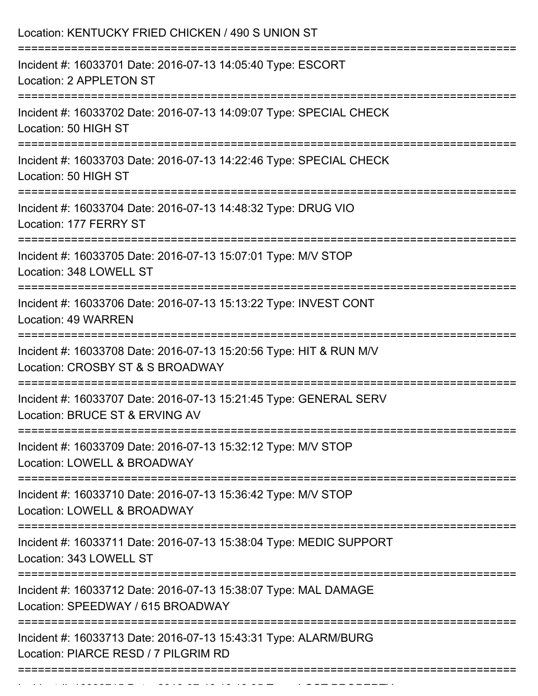| ----------------------------------<br>Incident #: 16033701 Date: 2016-07-13 14:05:40 Type: ESCORT<br>Location: 2 APPLETON ST<br>Incident #: 16033702 Date: 2016-07-13 14:09:07 Type: SPECIAL CHECK<br>Location: 50 HIGH ST<br>Incident #: 16033703 Date: 2016-07-13 14:22:46 Type: SPECIAL CHECK<br>Location: 50 HIGH ST<br>Incident #: 16033704 Date: 2016-07-13 14:48:32 Type: DRUG VIO<br>Location: 177 FERRY ST<br>==========================<br>Incident #: 16033705 Date: 2016-07-13 15:07:01 Type: M/V STOP |
|--------------------------------------------------------------------------------------------------------------------------------------------------------------------------------------------------------------------------------------------------------------------------------------------------------------------------------------------------------------------------------------------------------------------------------------------------------------------------------------------------------------------|
|                                                                                                                                                                                                                                                                                                                                                                                                                                                                                                                    |
|                                                                                                                                                                                                                                                                                                                                                                                                                                                                                                                    |
|                                                                                                                                                                                                                                                                                                                                                                                                                                                                                                                    |
|                                                                                                                                                                                                                                                                                                                                                                                                                                                                                                                    |
| Location: 348 LOWELL ST                                                                                                                                                                                                                                                                                                                                                                                                                                                                                            |
| Incident #: 16033706 Date: 2016-07-13 15:13:22 Type: INVEST CONT<br>Location: 49 WARREN                                                                                                                                                                                                                                                                                                                                                                                                                            |
| Incident #: 16033708 Date: 2016-07-13 15:20:56 Type: HIT & RUN M/V<br>Location: CROSBY ST & S BROADWAY                                                                                                                                                                                                                                                                                                                                                                                                             |
| =========================<br>Incident #: 16033707 Date: 2016-07-13 15:21:45 Type: GENERAL SERV<br>Location: BRUCE ST & ERVING AV                                                                                                                                                                                                                                                                                                                                                                                   |
| Incident #: 16033709 Date: 2016-07-13 15:32:12 Type: M/V STOP<br>Location: LOWELL & BROADWAY                                                                                                                                                                                                                                                                                                                                                                                                                       |
| Incident #: 16033710 Date: 2016-07-13 15:36:42 Type: M/V STOP<br>Location: LOWELL & BROADWAY                                                                                                                                                                                                                                                                                                                                                                                                                       |
| Incident #: 16033711 Date: 2016-07-13 15:38:04 Type: MEDIC SUPPORT<br>Location: 343 LOWELL ST                                                                                                                                                                                                                                                                                                                                                                                                                      |
| Incident #: 16033712 Date: 2016-07-13 15:38:07 Type: MAL DAMAGE<br>Location: SPEEDWAY / 615 BROADWAY                                                                                                                                                                                                                                                                                                                                                                                                               |
| Incident #: 16033713 Date: 2016-07-13 15:43:31 Type: ALARM/BURG<br>Location: PIARCE RESD / 7 PILGRIM RD                                                                                                                                                                                                                                                                                                                                                                                                            |

Incident #: 16033715 Date: 2016 07 13 16:13:35 Type: LOST PROPERTY<br>.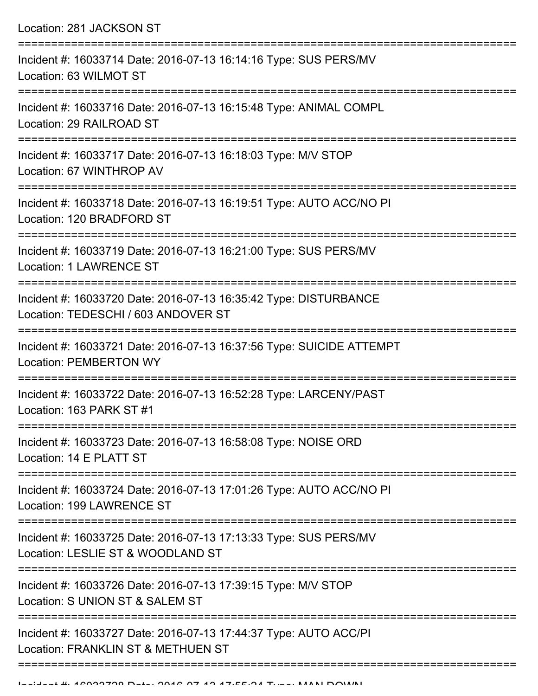Location: 281 JACKSON ST =========================================================================== Incident #: 16033714 Date: 2016-07-13 16:14:16 Type: SUS PERS/MV Location: 63 WILMOT ST =========================================================================== Incident #: 16033716 Date: 2016-07-13 16:15:48 Type: ANIMAL COMPL Location: 29 RAILROAD ST =========================================================================== Incident #: 16033717 Date: 2016-07-13 16:18:03 Type: M/V STOP Location: 67 WINTHROP AV =========================================================================== Incident #: 16033718 Date: 2016-07-13 16:19:51 Type: AUTO ACC/NO PI Location: 120 BRADFORD ST =========================================================================== Incident #: 16033719 Date: 2016-07-13 16:21:00 Type: SUS PERS/MV Location: 1 LAWRENCE ST =========================================================================== Incident #: 16033720 Date: 2016-07-13 16:35:42 Type: DISTURBANCE Location: TEDESCHI / 603 ANDOVER ST =========================================================================== Incident #: 16033721 Date: 2016-07-13 16:37:56 Type: SUICIDE ATTEMPT Location: PEMBERTON WY =========================================================================== Incident #: 16033722 Date: 2016-07-13 16:52:28 Type: LARCENY/PAST Location: 163 PARK ST #1 =========================================================================== Incident #: 16033723 Date: 2016-07-13 16:58:08 Type: NOISE ORD Location: 14 E PLATT ST =========================================================================== Incident #: 16033724 Date: 2016-07-13 17:01:26 Type: AUTO ACC/NO PI Location: 199 LAWRENCE ST =========================================================================== Incident #: 16033725 Date: 2016-07-13 17:13:33 Type: SUS PERS/MV Location: LESLIE ST & WOODLAND ST =========================================================================== Incident #: 16033726 Date: 2016-07-13 17:39:15 Type: M/V STOP Location: S UNION ST & SALEM ST =========================================================================== Incident #: 16033727 Date: 2016-07-13 17:44:37 Type: AUTO ACC/PI Location: FRANKLIN ST & METHUEN ST ======================================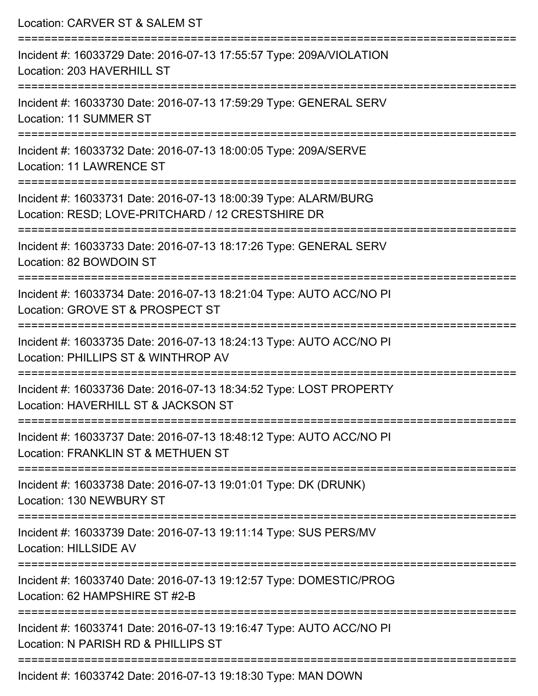| Location: CARVER ST & SALEM ST                                                                                       |
|----------------------------------------------------------------------------------------------------------------------|
| Incident #: 16033729 Date: 2016-07-13 17:55:57 Type: 209A/VIOLATION<br>Location: 203 HAVERHILL ST                    |
| Incident #: 16033730 Date: 2016-07-13 17:59:29 Type: GENERAL SERV<br>Location: 11 SUMMER ST                          |
| Incident #: 16033732 Date: 2016-07-13 18:00:05 Type: 209A/SERVE<br><b>Location: 11 LAWRENCE ST</b>                   |
| Incident #: 16033731 Date: 2016-07-13 18:00:39 Type: ALARM/BURG<br>Location: RESD; LOVE-PRITCHARD / 12 CRESTSHIRE DR |
| Incident #: 16033733 Date: 2016-07-13 18:17:26 Type: GENERAL SERV<br>Location: 82 BOWDOIN ST                         |
| Incident #: 16033734 Date: 2016-07-13 18:21:04 Type: AUTO ACC/NO PI<br>Location: GROVE ST & PROSPECT ST              |
| Incident #: 16033735 Date: 2016-07-13 18:24:13 Type: AUTO ACC/NO PI<br>Location: PHILLIPS ST & WINTHROP AV           |
| Incident #: 16033736 Date: 2016-07-13 18:34:52 Type: LOST PROPERTY<br>Location: HAVERHILL ST & JACKSON ST            |
| Incident #: 16033737 Date: 2016-07-13 18:48:12 Type: AUTO ACC/NO PI<br>Location: FRANKLIN ST & METHUEN ST            |
| Incident #: 16033738 Date: 2016-07-13 19:01:01 Type: DK (DRUNK)<br>Location: 130 NEWBURY ST                          |
| Incident #: 16033739 Date: 2016-07-13 19:11:14 Type: SUS PERS/MV<br>Location: HILLSIDE AV                            |
| Incident #: 16033740 Date: 2016-07-13 19:12:57 Type: DOMESTIC/PROG<br>Location: 62 HAMPSHIRE ST #2-B                 |
| Incident #: 16033741 Date: 2016-07-13 19:16:47 Type: AUTO ACC/NO PI<br>Location: N PARISH RD & PHILLIPS ST           |
| $ACOO2742$ Deta: $2046.07.42.40.40.20$ Tupe: MANLDOMA                                                                |

Incident #: 16033742 Date: 2016-07-13 19:18:30 Type: MAN DOWN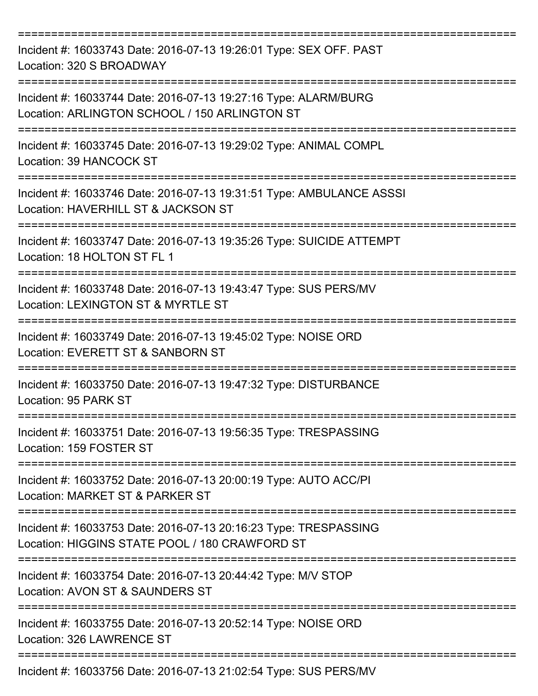| Incident #: 16033743 Date: 2016-07-13 19:26:01 Type: SEX OFF. PAST<br>Location: 320 S BROADWAY                                   |
|----------------------------------------------------------------------------------------------------------------------------------|
| Incident #: 16033744 Date: 2016-07-13 19:27:16 Type: ALARM/BURG<br>Location: ARLINGTON SCHOOL / 150 ARLINGTON ST                 |
| Incident #: 16033745 Date: 2016-07-13 19:29:02 Type: ANIMAL COMPL<br>Location: 39 HANCOCK ST                                     |
| Incident #: 16033746 Date: 2016-07-13 19:31:51 Type: AMBULANCE ASSSI<br>Location: HAVERHILL ST & JACKSON ST                      |
| Incident #: 16033747 Date: 2016-07-13 19:35:26 Type: SUICIDE ATTEMPT<br>Location: 18 HOLTON ST FL 1                              |
| Incident #: 16033748 Date: 2016-07-13 19:43:47 Type: SUS PERS/MV<br>Location: LEXINGTON ST & MYRTLE ST                           |
| =========================<br>Incident #: 16033749 Date: 2016-07-13 19:45:02 Type: NOISE ORD<br>Location: EVERETT ST & SANBORN ST |
| Incident #: 16033750 Date: 2016-07-13 19:47:32 Type: DISTURBANCE<br>Location: 95 PARK ST                                         |
| Incident #: 16033751 Date: 2016-07-13 19:56:35 Type: TRESPASSING<br>Location: 159 FOSTER ST                                      |
| Incident #: 16033752 Date: 2016-07-13 20:00:19 Type: AUTO ACC/PI<br>Location: MARKET ST & PARKER ST                              |
| Incident #: 16033753 Date: 2016-07-13 20:16:23 Type: TRESPASSING<br>Location: HIGGINS STATE POOL / 180 CRAWFORD ST               |
| Incident #: 16033754 Date: 2016-07-13 20:44:42 Type: M/V STOP<br>Location: AVON ST & SAUNDERS ST                                 |
| Incident #: 16033755 Date: 2016-07-13 20:52:14 Type: NOISE ORD<br>Location: 326 LAWRENCE ST                                      |
| Incident #: 16033756 Date: 2016-07-13 21:02:54 Type: SUS PERS/MV                                                                 |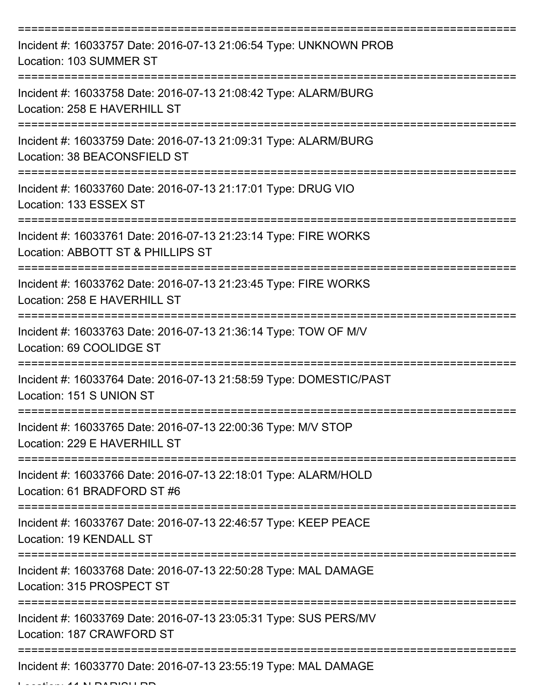| Incident #: 16033757 Date: 2016-07-13 21:06:54 Type: UNKNOWN PROB<br>Location: 103 SUMMER ST         |
|------------------------------------------------------------------------------------------------------|
| Incident #: 16033758 Date: 2016-07-13 21:08:42 Type: ALARM/BURG<br>Location: 258 E HAVERHILL ST      |
| Incident #: 16033759 Date: 2016-07-13 21:09:31 Type: ALARM/BURG<br>Location: 38 BEACONSFIELD ST      |
| Incident #: 16033760 Date: 2016-07-13 21:17:01 Type: DRUG VIO<br>Location: 133 ESSEX ST              |
| Incident #: 16033761 Date: 2016-07-13 21:23:14 Type: FIRE WORKS<br>Location: ABBOTT ST & PHILLIPS ST |
| Incident #: 16033762 Date: 2016-07-13 21:23:45 Type: FIRE WORKS<br>Location: 258 E HAVERHILL ST      |
| Incident #: 16033763 Date: 2016-07-13 21:36:14 Type: TOW OF M/V<br>Location: 69 COOLIDGE ST          |
| Incident #: 16033764 Date: 2016-07-13 21:58:59 Type: DOMESTIC/PAST<br>Location: 151 S UNION ST       |
| Incident #: 16033765 Date: 2016-07-13 22:00:36 Type: M/V STOP<br>Location: 229 E HAVERHILL ST        |
| Incident #: 16033766 Date: 2016-07-13 22:18:01 Type: ALARM/HOLD<br>Location: 61 BRADFORD ST #6       |
| Incident #: 16033767 Date: 2016-07-13 22:46:57 Type: KEEP PEACE<br>Location: 19 KENDALL ST           |
| Incident #: 16033768 Date: 2016-07-13 22:50:28 Type: MAL DAMAGE<br>Location: 315 PROSPECT ST         |
| Incident #: 16033769 Date: 2016-07-13 23:05:31 Type: SUS PERS/MV<br>Location: 187 CRAWFORD ST        |
| Incident #: 16033770 Date: 2016-07-13 23:55:19 Type: MAL DAMAGE                                      |